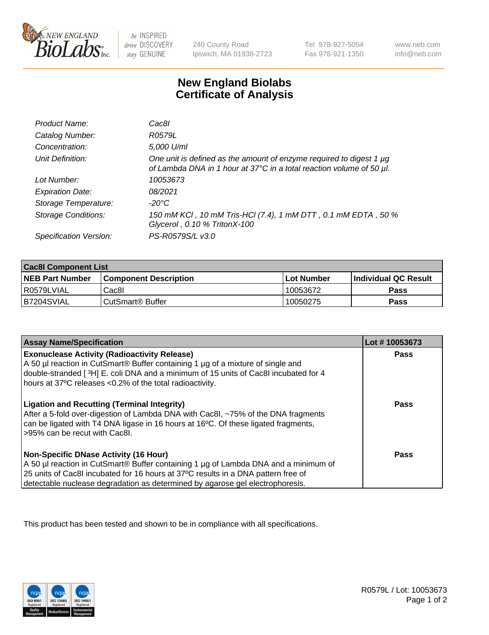

 $be$  INSPIRED drive DISCOVERY stay GENUINE

240 County Road Ipswich, MA 01938-2723 Tel 978-927-5054 Fax 978-921-1350 www.neb.com info@neb.com

## **New England Biolabs Certificate of Analysis**

| Product Name:              | Cac8l                                                                                                                                       |
|----------------------------|---------------------------------------------------------------------------------------------------------------------------------------------|
| Catalog Number:            | R0579L                                                                                                                                      |
| Concentration:             | 5,000 U/ml                                                                                                                                  |
| Unit Definition:           | One unit is defined as the amount of enzyme required to digest 1 µg<br>of Lambda DNA in 1 hour at 37°C in a total reaction volume of 50 µl. |
| Lot Number:                | 10053673                                                                                                                                    |
| <b>Expiration Date:</b>    | 08/2021                                                                                                                                     |
| Storage Temperature:       | -20°C                                                                                                                                       |
| <b>Storage Conditions:</b> | 150 mM KCI, 10 mM Tris-HCI (7.4), 1 mM DTT, 0.1 mM EDTA, 50 %<br>Glycerol, 0.10 % TritonX-100                                               |
| Specification Version:     | PS-R0579S/L v3.0                                                                                                                            |

| <b>Cac8I Component List</b> |                         |             |                             |  |
|-----------------------------|-------------------------|-------------|-----------------------------|--|
| <b>NEB Part Number</b>      | l Component Description | ⊺Lot Number | <b>Individual QC Result</b> |  |
| I R0579LVIAL                | Cac8I                   | 10053672    | Pass                        |  |
| B7204SVIAL                  | l CutSmart® Buffer      | 10050275    | Pass                        |  |

| <b>Assay Name/Specification</b>                                                                                                                                                                                                                                                                           | Lot #10053673 |
|-----------------------------------------------------------------------------------------------------------------------------------------------------------------------------------------------------------------------------------------------------------------------------------------------------------|---------------|
| <b>Exonuclease Activity (Radioactivity Release)</b><br>A 50 µl reaction in CutSmart® Buffer containing 1 µg of a mixture of single and<br>double-stranded [3H] E. coli DNA and a minimum of 15 units of Cac8I incubated for 4<br>hours at 37°C releases <0.2% of the total radioactivity.                 | Pass          |
| <b>Ligation and Recutting (Terminal Integrity)</b><br>After a 5-fold over-digestion of Lambda DNA with Cac8I, ~75% of the DNA fragments<br>can be ligated with T4 DNA ligase in 16 hours at 16 <sup>o</sup> C. Of these ligated fragments,<br>>95% can be recut with Cac8I.                               | <b>Pass</b>   |
| <b>Non-Specific DNase Activity (16 Hour)</b><br>A 50 µl reaction in CutSmart® Buffer containing 1 µg of Lambda DNA and a minimum of<br>25 units of Cac8I incubated for 16 hours at 37°C results in a DNA pattern free of<br>detectable nuclease degradation as determined by agarose gel electrophoresis. | Pass          |

This product has been tested and shown to be in compliance with all specifications.